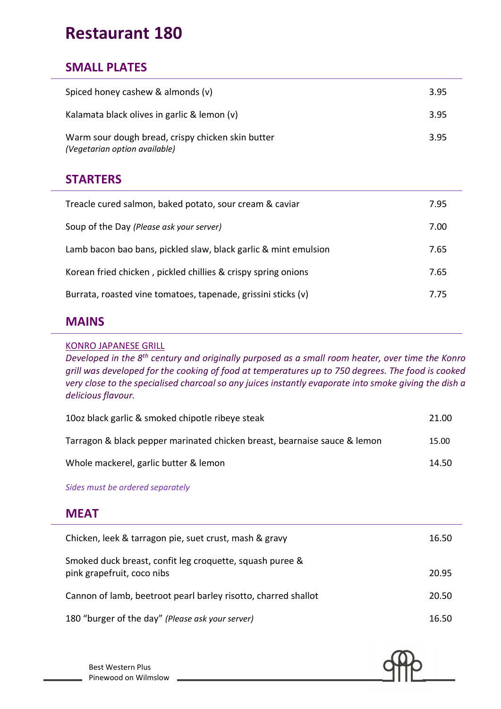# **Restaurant 180**

### **SMALL PLATES**

| <b>STARTERS</b>                                                                    |      |
|------------------------------------------------------------------------------------|------|
| Warm sour dough bread, crispy chicken skin butter<br>(Vegetarian option available) | 3.95 |
| Kalamata black olives in garlic & lemon (v)                                        | 3.95 |
| Spiced honey cashew & almonds (v)                                                  | 3.95 |

| Treacle cured salmon, baked potato, sour cream & caviar         | 7.95 |
|-----------------------------------------------------------------|------|
| Soup of the Day (Please ask your server)                        | 7.00 |
| Lamb bacon bao bans, pickled slaw, black garlic & mint emulsion | 7.65 |
| Korean fried chicken, pickled chillies & crispy spring onions   |      |
| Burrata, roasted vine tomatoes, tapenade, grissini sticks (v)   | 7.75 |

#### **MAINS**

#### KONRO JAPANESE GRILL

*Developed in the 8th century and originally purposed as a small room heater, over time the Konro grill was developed for the cooking of food at temperatures up to 750 degrees. The food is cooked very close to the specialised charcoal so any juices instantly evaporate into smoke giving the dish a delicious flavour.*

| 10oz black garlic & smoked chipotle ribeye steak                          | 21.00 |
|---------------------------------------------------------------------------|-------|
| Tarragon & black pepper marinated chicken breast, bearnaise sauce & lemon | 15.00 |
| Whole mackerel, garlic butter & lemon                                     | 14.50 |

*Sides must be ordered separately*

#### **MEAT**

| Chicken, leek & tarragon pie, suet crust, mash & gravy                                 | 16.50 |
|----------------------------------------------------------------------------------------|-------|
| Smoked duck breast, confit leg croquette, squash puree &<br>pink grapefruit, coco nibs | 20.95 |
| Cannon of lamb, beetroot pearl barley risotto, charred shallot                         | 20.50 |
| 180 "burger of the day" (Please ask your server)                                       | 16.50 |



Best Western Plus Pinewood on Wilmslow